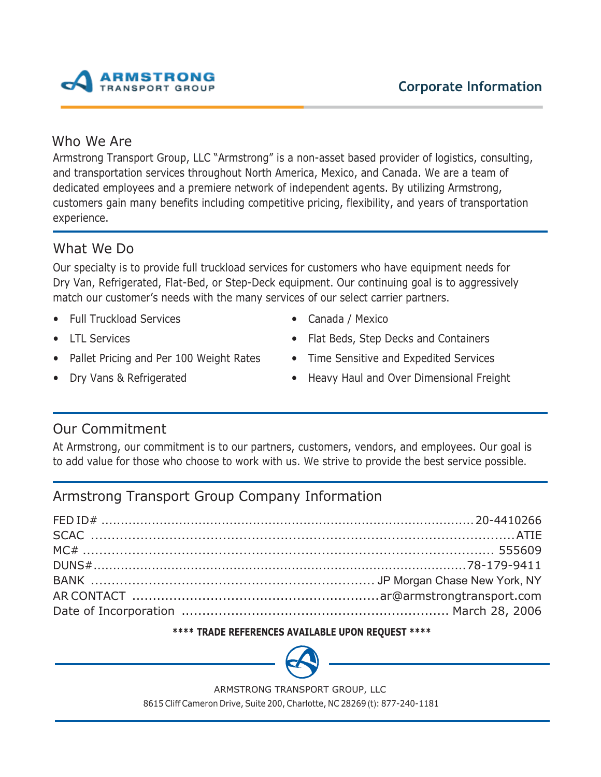

# Who We Are

Armstrong Transport Group, LLC "Armstrong" is a non-asset based provider of logistics, consulting, and transportation services throughout North America, Mexico, and Canada. We are a team of dedicated employees and a premiere network of independent agents. By utilizing Armstrong, customers gain many benefits including competitive pricing, flexibility, and years of transportation experience.

# What We Do

Our specialty is to provide full truckload services for customers who have equipment needs for Dry Van, Refrigerated, Flat-Bed, or Step-Deck equipment. Our continuing goal is to aggressively match our customer's needs with the many services of our select carrier partners.

- Full Truckload Services
- LTL Services
- Pallet Pricing and Per 100 Weight Rates
- Dry Vans & Refrigerated
- Canada / Mexico
- Flat Beds, Step Decks and Containers
- Time Sensitive and Expedited Services
- Heavy Haul and Over Dimensional Freight

# Our Commitment

At Armstrong, our commitment is to our partners, customers, vendors, and employees. Our goal is to add value for those who choose to work with us. We strive to provide the best service possible.

# Armstrong Transport Group Company Information

# **\*\*\*\* TRADE REFERENCES AVAILABLE UPON REQUEST \*\*\*\***



ARMSTRONG TRANSPORT GROUP, LLC

8615 Cliff Cameron Drive, Suite 200, Charlotte, NC 28269 (t): 877-240-1181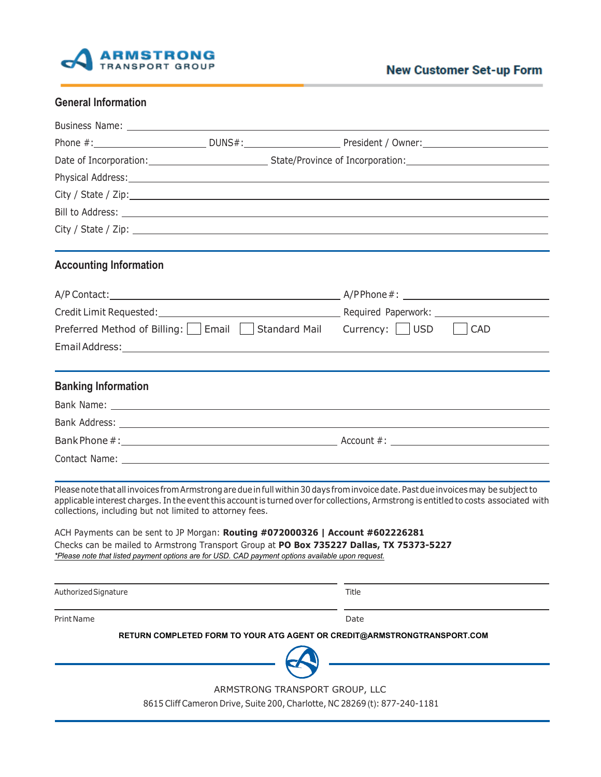

| <b>General Information</b> |  |  |
|----------------------------|--|--|
|----------------------------|--|--|

| <b>Accounting Information</b>                            |                                                                                                                                                                                               |                                                                                                                                                                                                                                                                             |
|----------------------------------------------------------|-----------------------------------------------------------------------------------------------------------------------------------------------------------------------------------------------|-----------------------------------------------------------------------------------------------------------------------------------------------------------------------------------------------------------------------------------------------------------------------------|
|                                                          |                                                                                                                                                                                               |                                                                                                                                                                                                                                                                             |
|                                                          |                                                                                                                                                                                               |                                                                                                                                                                                                                                                                             |
|                                                          | Preferred Method of Billing: $\Box$ Email $\Box$ Standard Mail Currency: $\Box$ USD                                                                                                           | <b>CAD</b>                                                                                                                                                                                                                                                                  |
|                                                          |                                                                                                                                                                                               |                                                                                                                                                                                                                                                                             |
| <b>Banking Information</b>                               |                                                                                                                                                                                               |                                                                                                                                                                                                                                                                             |
|                                                          |                                                                                                                                                                                               |                                                                                                                                                                                                                                                                             |
|                                                          |                                                                                                                                                                                               |                                                                                                                                                                                                                                                                             |
|                                                          |                                                                                                                                                                                               |                                                                                                                                                                                                                                                                             |
|                                                          |                                                                                                                                                                                               |                                                                                                                                                                                                                                                                             |
| collections, including but not limited to attorney fees. |                                                                                                                                                                                               | Please note that all invoices from Armstrong are due in full within 30 days from invoice date. Past due invoices may be subject to<br>applicable interest charges. In the event this account is turned over for collections, Armstrong is entitled to costs associated with |
|                                                          | ACH Payments can be sent to JP Morgan: Routing #072000326   Account #602226281                                                                                                                |                                                                                                                                                                                                                                                                             |
|                                                          | Checks can be mailed to Armstrong Transport Group at PO Box 735227 Dallas, TX 75373-5227<br>*Please note that listed payment options are for USD. CAD payment options available upon request. |                                                                                                                                                                                                                                                                             |
| Authorized Signature                                     |                                                                                                                                                                                               | Title                                                                                                                                                                                                                                                                       |
| Print Name                                               |                                                                                                                                                                                               | Date                                                                                                                                                                                                                                                                        |
|                                                          | RETURN COMPLETED FORM TO YOUR ATG AGENT OR CREDIT@ARMSTRONGTRANSPORT.COM                                                                                                                      |                                                                                                                                                                                                                                                                             |
|                                                          |                                                                                                                                                                                               |                                                                                                                                                                                                                                                                             |

ARMSTRONG TRANSPORT GROUP, LLC

8615 Cliff Cameron Drive, Suite 200, Charlotte, NC 28269 (t): 877-240-1181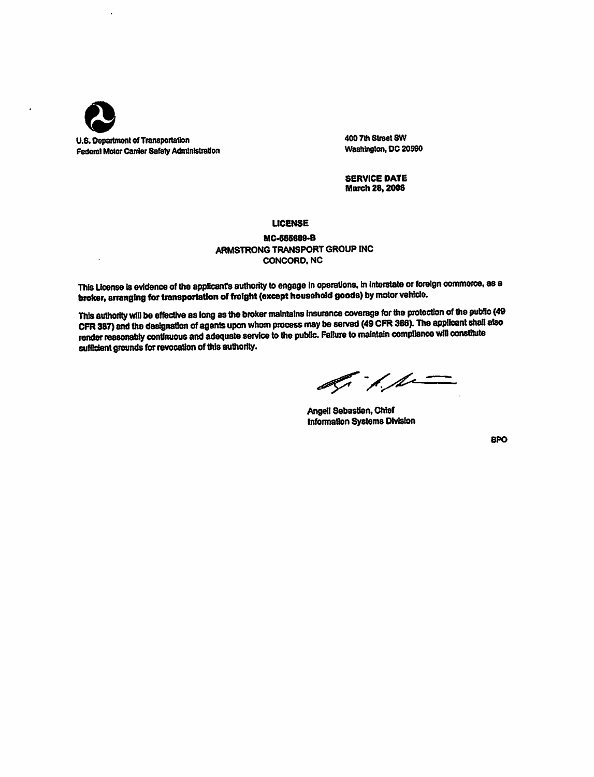

400 7th Street SW Washington, DC 20590

**SERVICE DATE March 28, 2006** 

#### **LICENSE**

### MC-555609-B ARMSTRONG TRANSPORT GROUP INC CONCORD, NC

This License is evidence of the applicant's authority to engage in operations, in interstate or foreign commerce, as a broker, arranging for transportation of freight (except household goods) by motor vehicle.

This authority will be effective as long as the broker maintains insurance coverage for the protection of the public (49 CFR 387) and the designation of agents upon whom process may be served (49 CFR 366). The applicant shall also render reasonably continuous and adequate service to the public. Failure to maintain compliance will constitute sufficient grounds for revocation of this authority.

 $\mathscr{A}$  /  $\mathscr{A}$ 

Angell Sebastian, Chief Information Systems Division

**BPO**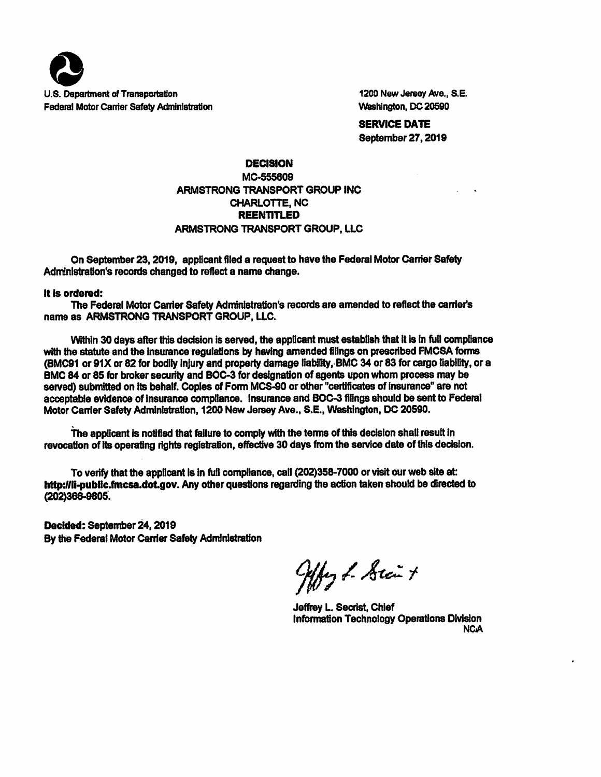

1200 New Jersey Ave., S.E. Washington, DC 20590

**SERVICE DATE** September 27, 2019

## **DECISION** MC-555609 ARMSTRONG TRANSPORT GROUP INC CHARLOTTE, NC **REENTITLED** ARMSTRONG TRANSPORT GROUP, LLC

On September 23, 2019, applicant filed a request to have the Federal Motor Carrier Safety Administration's records changed to reflect a name change.

## It is ordered:

The Federal Motor Carrier Safety Administration's records are amended to reflect the carrier's name as ARMSTRONG TRANSPORT GROUP, LLC.

Within 30 days after this decision is served, the applicant must establish that it is in full compliance with the statute and the insurance regulations by having amended filings on prescribed FMCSA forms (BMC91 or 91X or 82 for bodily injury and property damage liability. BMC 34 or 83 for cargo liability, or a BMC 84 or 85 for broker security and BOC-3 for designation of agents upon whom process may be served) submitted on its behalf. Copies of Form MCS-90 or other "certificates of insurance" are not acceptable evidence of insurance compliance. Insurance and BOC-3 filings should be sent to Federal Motor Carrier Safety Administration, 1200 New Jersey Ave., S.E., Washington, DC 20590.

The applicant is notified that failure to comply with the terms of this decision shall result in revocation of its operating rights registration, effective 30 days from the service date of this decision.

To verify that the applicant is in full compliance, call (202)358-7000 or visit our web site at: http://li-public.fmcsa.dot.gov. Any other questions regarding the action taken should be directed to (202)366-9805.

Decided: September 24, 2019 By the Federal Motor Carrier Safety Administration

Offer & Stait

Jeffrey L. Secrist, Chief **Information Technology Operations Division NCA**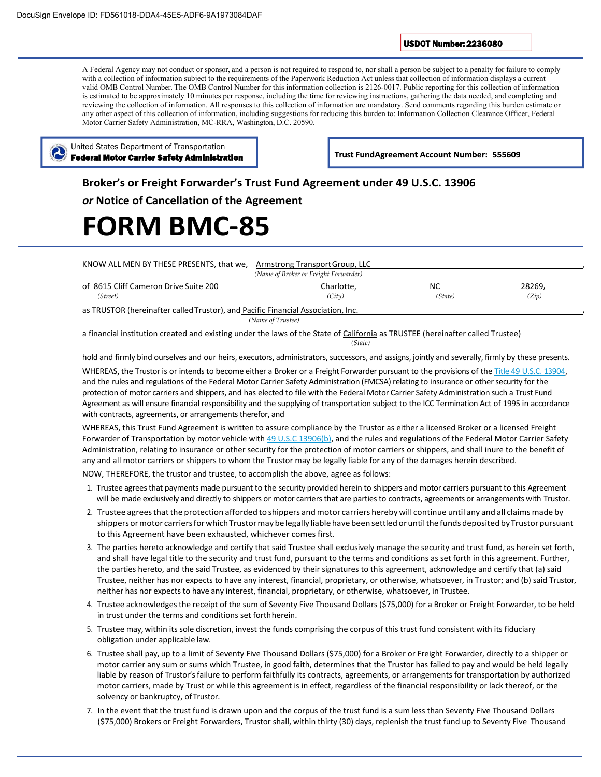USDOT Number: 2236080

A Federal Agency may not conduct or sponsor, and a person is not required to respond to, nor shall a person be subject to a penalty for failure to comply with a collection of information subject to the requirements of the Paperwork Reduction Act unless that collection of information displays a current valid OMB Control Number. The OMB Control Number for this information collection is 2126-0017. Public reporting for this collection of information is estimated to be approximately 10 minutes per response, including the time for reviewing instructions, gathering the data needed, and completing and reviewing the collection of information. All responses to this collection of information are mandatory. Send comments regarding this burden estimate or any other aspect of this collection of information, including suggestions for reducing this burden to: Information Collection Clearance Officer, Federal Motor Carrier Safety Administration, MC-RRA, Washington, D.C. 20590.



Trust FundAgreement Account Number: 555609

## **Broker's or Freight Forwarder's Trust Fund Agreement under 49 U.S.C. 13906**

*or* **Notice of Cancellation of the Agreement**

# **FORM BMC‐85**

| KNOW ALL MEN BY THESE PRESENTS, that we,                                         | Armstrong Transport Group, LLC<br>(Name of Broker or Freight Forwarder) |           |        |  |  |  |
|----------------------------------------------------------------------------------|-------------------------------------------------------------------------|-----------|--------|--|--|--|
| of 8615 Cliff Cameron Drive Suite 200                                            | Charlotte.                                                              | <b>NC</b> | 28269, |  |  |  |
| (Street)                                                                         | (City)                                                                  | (State)   | (Zip)  |  |  |  |
| as TRUSTOR (hereinafter called Trustor), and Pacific Financial Association, Inc. |                                                                         |           |        |  |  |  |
| (Name of Trustee)                                                                |                                                                         |           |        |  |  |  |

a financial institution created and existing under the laws of the State of California as TRUSTEE (hereinafter called Trustee) *(State)*

hold and firmly bind ourselves and our heirs, executors, administrators, successors, and assigns, jointly and severally, firmly by these presents. WHEREAS, the Trustor is or intends to become either a Broker or a Freight Forwarder pursuant to the provisions of the Title 49 U.S.C. 13904, and the rules and regulations of the Federal Motor Carrier Safety Administration (FMCSA) relating to insurance or other security for the protection of motor carriers and shippers, and has elected to file with the Federal Motor Carrier Safety Administration such a Trust Fund Agreement as will ensure financial responsibility and the supplying of transportation subject to the ICC Termination Act of 1995 in accordance with contracts, agreements, or arrangements therefor, and

WHEREAS, this Trust Fund Agreement is written to assure compliance by the Trustor as either a licensed Broker or a licensed Freight Forwarder of Transportation by motor vehicle with 49 U.S.C 13906(b), and the rules and regulations of the Federal Motor Carrier Safety Administration, relating to insurance or other security for the protection of motor carriers or shippers, and shall inure to the benefit of any and all motor carriers or shippers to whom the Trustor may be legally liable for any of the damages herein described.

NOW, THEREFORE, the trustor and trustee, to accomplish the above, agree as follows:

- 1. Trustee agrees that payments made pursuant to the security provided herein to shippers and motor carriers pursuant to this Agreement will be made exclusively and directly to shippers or motor carriers that are parties to contracts, agreements or arrangements with Trustor.
- 2. Trustee agrees that the protection afforded to shippers and motor carriers hereby will continue until any and all claims made by shippers or motor carriers for which Trustor may be legally liable have been settled or until the funds deposited by Trustor pursuant to this Agreement have been exhausted, whichever comes first.
- 3. The parties hereto acknowledge and certify that said Trustee shall exclusively manage the security and trust fund, as herein set forth, and shall have legal title to the security and trust fund, pursuant to the terms and conditions as set forth in this agreement. Further, the parties hereto, and the said Trustee, as evidenced by their signatures to this agreement, acknowledge and certify that (a) said Trustee, neither has nor expects to have any interest, financial, proprietary, or otherwise, whatsoever, in Trustor; and (b) said Trustor, neither has nor expects to have any interest, financial, proprietary, or otherwise, whatsoever, in Trustee.
- 4. Trustee acknowledges the receipt of the sum of Seventy Five Thousand Dollars (\$75,000) for a Broker or Freight Forwarder, to be held in trust under the terms and conditions set forthherein.
- 5. Trustee may, within its sole discretion, invest the funds comprising the corpus of this trust fund consistent with its fiduciary obligation under applicable law.
- 6. Trustee shall pay, up to a limit of Seventy Five Thousand Dollars (\$75,000) for a Broker or Freight Forwarder, directly to a shipper or motor carrier any sum or sums which Trustee, in good faith, determines that the Trustor has failed to pay and would be held legally liable by reason of Trustor's failure to perform faithfully its contracts, agreements, or arrangements for transportation by authorized motor carriers, made by Trust or while this agreement is in effect, regardless of the financial responsibility or lack thereof, or the solvency or bankruptcy, of Trustor.
- 7. In the event that the trust fund is drawn upon and the corpus of the trust fund is a sum less than Seventy Five Thousand Dollars (\$75,000) Brokers or Freight Forwarders, Trustor shall, within thirty (30) days, replenish the trust fund up to Seventy Five Thousand